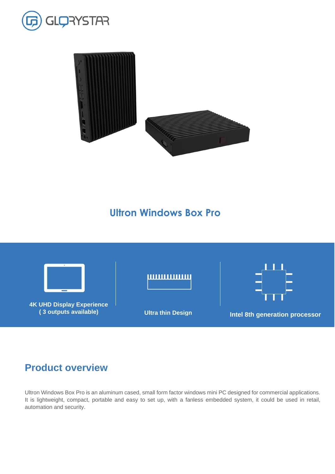



# **Ultron Windows Box Pro**

# **Product overview**



Ultron Windows Box Pro is an aluminum cased, small form factor windows mini PC designed for commercial applications. It is lightweight, compact, portable and easy to set up, with a fanless embedded system, it could be used in retail, automation and security.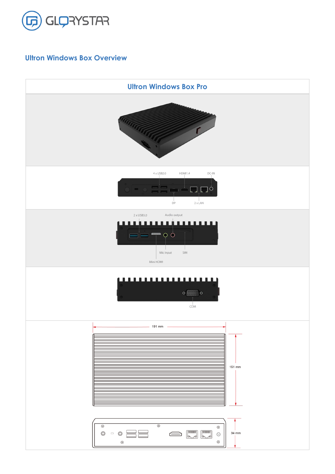

# **Ultron Windows Box Overview**

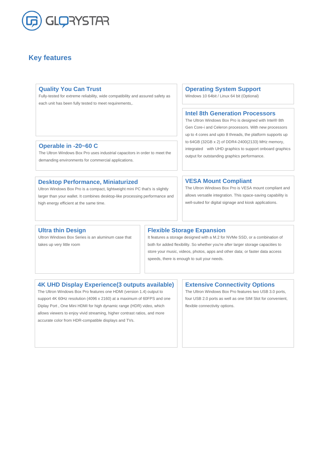

## **Key features**

#### **Intel 8th Generation Processors**

The Ultron Windows Box Pro is designed with Intel® 8th Gen Core-i and Celeron processors. With new processors up to 4 cores and upto 8 threads, the platform supports up to 64GB (32GB x 2) of DDR4-2400(2133) MHz memory, integrated with UHD graphics to support onboard graphics output for outstanding graphics performance.

### **Flexible Storage Expansion**

It features a storage designed with a M.2 for NVMe SSD, or a combination of both for added flexibility. So whether you're after larger storage capacities to store your music, videos, photos, apps and other data; or faster data access speeds, there is enough to suit your needs.

#### **VESA Mount Compliant**

The Ultron Windows Box Pro is VESA mount compliant and allows versatile integration. This space-saving capability is well-suited for digital signage and kiosk applications.

#### **4K UHD Display Experience(3 outputs available)**

The Ultron Windows Box Pro features one HDMI (version 1.4) output to support 4K 60Hz resolution (4096 x 2160) at a maximum of 60FPS and one Diplay Port , One Mini HDMI for high dynamic range (HDR) video, which allows viewers to enjoy vivid streaming, higher contrast ratios, and more accurate color from HDR-compatible displays and TVs.

### **Extensive Connectivity Options**

The Ultron Windows Box Pro features two USB 3.0 ports, four USB 2.0 ports as well as one SIM Slot for convenient, flexible connectivity options.

#### **Operable in -20~60 C**

The Ultron Windows Box Pro uses industrial capacitors in order to meet the demanding environments for commercial applications.

#### **Desktop Performance, Miniaturized**

Ultron Windows Box Pro is a compact, lightweight mini PC that's is slightly larger than your wallet. It combines desktop-like processing performance and high energy efficient at the same time.

#### **Operating System Support**

Windows 10 64bit / Linux 64 bit (Optional)

#### **Ultra thin Design**

Ultron Windows Box Series is an aluminum case that takes up very little room

#### **Quality You Can Trust**

Fully-tested for extreme reliability, wide compatibility and assured safety as each unit has been fully tested to meet requirements,.